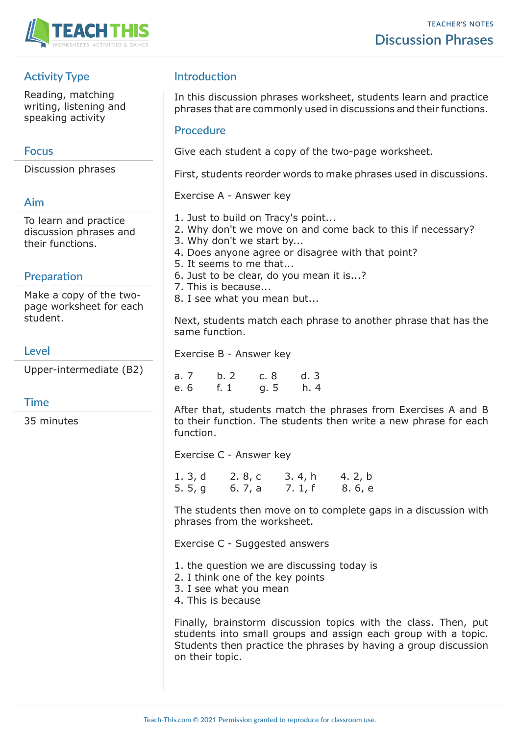

# **Activity Type**

Reading, matching writing, listening and speaking activity

## **Focus**

Discussion phrases

## **Aim**

To learn and practice discussion phrases and their functions.

## **Preparation**

Make a copy of the twopage worksheet for each student.

## **Level**

Upper-intermediate (B2)

### **Time**

35 minutes

# **Introduction**

In this discussion phrases worksheet, students learn and practice phrases that are commonly used in discussions and their functions.

### **Procedure**

Give each student a copy of the two-page worksheet.

First, students reorder words to make phrases used in discussions.

Exercise A - Answer key

- 1. Just to build on Tracy's point...
- 2. Why don't we move on and come back to this if necessary?
- 3. Why don't we start by...
- 4. Does anyone agree or disagree with that point?
- 5. It seems to me that...
- 6. Just to be clear, do you mean it is...?
- 7. This is because...
- 8. I see what you mean but...

Next, students match each phrase to another phrase that has the same function.

Exercise B - Answer key

| a. 7 | b. 2 | c.8  | d.3  |
|------|------|------|------|
| e. 6 | f. 1 | g. 5 | h. 4 |

After that, students match the phrases from Exercises A and B to their function. The students then write a new phrase for each function.

Exercise C - Answer key

| 1. $3, d$ | 2. 8, c | 3.4, h  | 4. 2, b |
|-----------|---------|---------|---------|
| 5. $5, g$ | 6. 7, a | 7. 1, f | 8. 6, e |

The students then move on to complete gaps in a discussion with phrases from the worksheet.

Exercise C - Suggested answers

- 1. the question we are discussing today is
- 2. I think one of the key points
- 3. I see what you mean
- 4. This is because

Finally, brainstorm discussion topics with the class. Then, put students into small groups and assign each group with a topic. Students then practice the phrases by having a group discussion on their topic.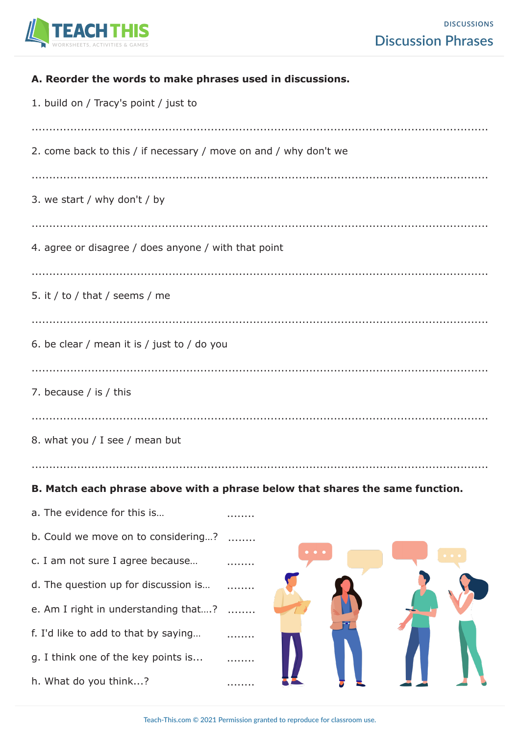

| A. Reorder the words to make phrases used in discussions.        |                                                                               |
|------------------------------------------------------------------|-------------------------------------------------------------------------------|
| 1. build on / Tracy's point / just to                            |                                                                               |
|                                                                  |                                                                               |
| 2. come back to this / if necessary / move on and / why don't we |                                                                               |
|                                                                  |                                                                               |
| 3. we start / why don't / by                                     |                                                                               |
|                                                                  |                                                                               |
| 4. agree or disagree / does anyone / with that point             |                                                                               |
|                                                                  |                                                                               |
| 5. it / to / that / seems / me                                   |                                                                               |
|                                                                  |                                                                               |
| 6. be clear / mean it is / just to / do you                      |                                                                               |
|                                                                  |                                                                               |
| 7. because / is / this                                           |                                                                               |
|                                                                  |                                                                               |
| 8. what you / I see / mean but                                   |                                                                               |
|                                                                  |                                                                               |
|                                                                  | B. Match each phrase above with a phrase below that shares the same function. |
| a. The evidence for this is                                      |                                                                               |
| b. Could we move on to considering?                              |                                                                               |
| c. I am not sure I agree because                                 |                                                                               |
| d. The question up for discussion is                             |                                                                               |
| e. Am I right in understanding that?                             |                                                                               |
| f. I'd like to add to that by saying                             |                                                                               |
| g. I think one of the key points is                              |                                                                               |
| h. What do you think?                                            |                                                                               |